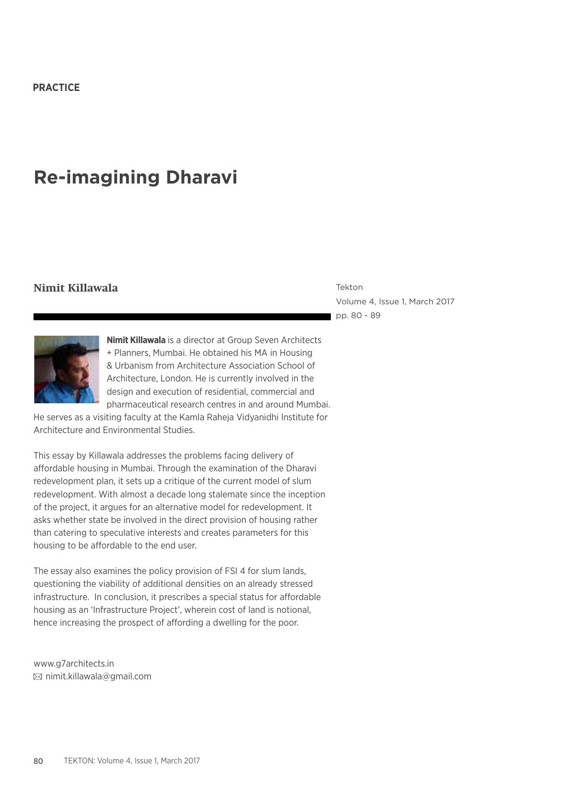# **Re-imagining Dharavi**

#### **Nimit Killawala** Tekton

Volume 4, Issue 1, March 2017 pp. 80 - 89



**Nimit Killawala** is a director at Group Seven Architects + Planners, Mumbai. He obtained his MA in Housing & Urbanism from Architecture Association School of Architecture, London. He is currently involved in the design and execution of residential, commercial and pharmaceutical research centres in and around Mumbai.

He serves as a visiting faculty at the Kamla Raheja Vidyanidhi Institute for Architecture and Environmental Studies.

This essay by Killawala addresses the problems facing delivery of affordable housing in Mumbai. Through the examination of the Dharavi redevelopment plan, it sets up a critique of the current model of slum redevelopment. With almost a decade long stalemate since the inception of the project, it argues for an alternative model for redevelopment. It asks whether state be involved in the direct provision of housing rather than catering to speculative interests and creates parameters for this housing to be affordable to the end user.

The essay also examines the policy provision of FSI 4 for slum lands, questioning the viability of additional densities on an already stressed infrastructure. In conclusion, it prescribes a special status for affordable housing as an 'Infrastructure Project', wherein cost of land is notional, hence increasing the prospect of affording a dwelling for the poor.

www.g7architects.in nimit.killawala@gmail.com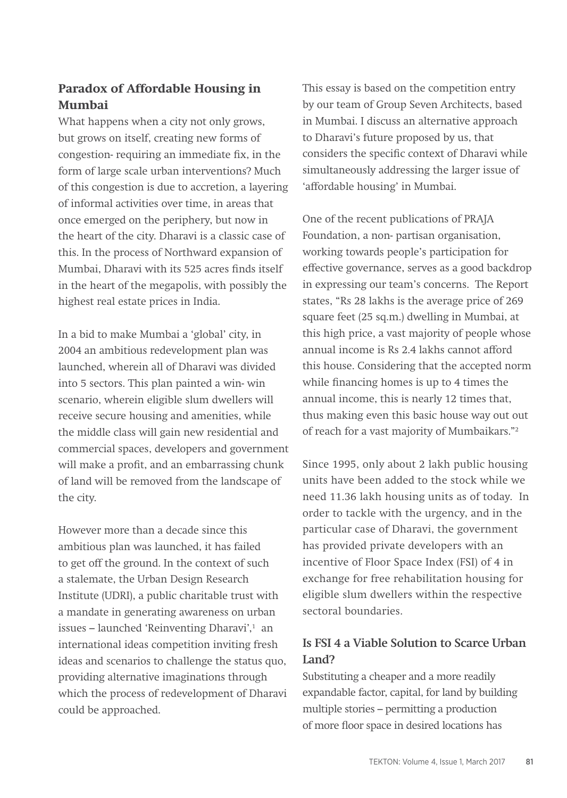## **Paradox of Affordable Housing in Mumbai**

What happens when a city not only grows, but grows on itself, creating new forms of congestion- requiring an immediate fix, in the form of large scale urban interventions? Much of this congestion is due to accretion, a layering of informal activities over time, in areas that once emerged on the periphery, but now in the heart of the city. Dharavi is a classic case of this. In the process of Northward expansion of Mumbai, Dharavi with its 525 acres finds itself in the heart of the megapolis, with possibly the highest real estate prices in India.

In a bid to make Mumbai a 'global' city, in 2004 an ambitious redevelopment plan was launched, wherein all of Dharavi was divided into 5 sectors. This plan painted a win- win scenario, wherein eligible slum dwellers will receive secure housing and amenities, while the middle class will gain new residential and commercial spaces, developers and government will make a profit, and an embarrassing chunk of land will be removed from the landscape of the city.

However more than a decade since this ambitious plan was launched, it has failed to get off the ground. In the context of such a stalemate, the Urban Design Research Institute (UDRI), a public charitable trust with a mandate in generating awareness on urban issues – launched 'Reinventing Dharavi',<sup>1</sup> an international ideas competition inviting fresh ideas and scenarios to challenge the status quo, providing alternative imaginations through which the process of redevelopment of Dharavi could be approached.

This essay is based on the competition entry by our team of Group Seven Architects, based in Mumbai. I discuss an alternative approach to Dharavi's future proposed by us, that considers the specific context of Dharavi while simultaneously addressing the larger issue of 'affordable housing' in Mumbai.

One of the recent publications of PRAJA Foundation, a non- partisan organisation, working towards people's participation for effective governance, serves as a good backdrop in expressing our team's concerns. The Report states, "Rs 28 lakhs is the average price of 269 square feet (25 sq.m.) dwelling in Mumbai, at this high price, a vast majority of people whose annual income is Rs 2.4 lakhs cannot afford this house. Considering that the accepted norm while financing homes is up to 4 times the annual income, this is nearly 12 times that, thus making even this basic house way out out of reach for a vast majority of Mumbaikars."2

Since 1995, only about 2 lakh public housing units have been added to the stock while we need 11.36 lakh housing units as of today. In order to tackle with the urgency, and in the particular case of Dharavi, the government has provided private developers with an incentive of Floor Space Index (FSI) of 4 in exchange for free rehabilitation housing for eligible slum dwellers within the respective sectoral boundaries.

### **Is FSI 4 a Viable Solution to Scarce Urban Land?**

Substituting a cheaper and a more readily expandable factor, capital, for land by building multiple stories – permitting a production of more floor space in desired locations has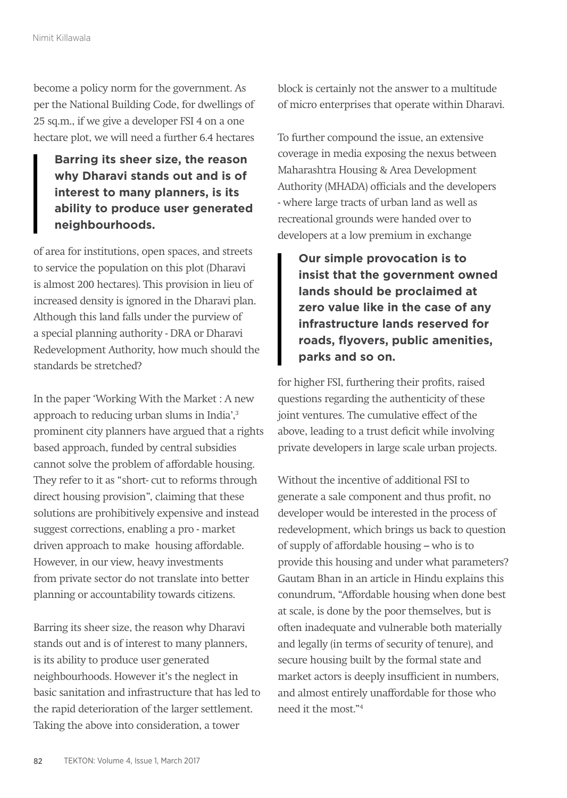become a policy norm for the government. As per the National Building Code, for dwellings of 25 sq.m., if we give a developer FSI 4 on a one hectare plot, we will need a further 6.4 hectares

**Barring its sheer size, the reason why Dharavi stands out and is of interest to many planners, is its ability to produce user generated neighbourhoods.**

of area for institutions, open spaces, and streets to service the population on this plot (Dharavi is almost 200 hectares). This provision in lieu of increased density is ignored in the Dharavi plan. Although this land falls under the purview of a special planning authority - DRA or Dharavi Redevelopment Authority, how much should the standards be stretched?

In the paper 'Working With the Market : A new approach to reducing urban slums in India',<sup>3</sup> prominent city planners have argued that a rights based approach, funded by central subsidies cannot solve the problem of affordable housing. They refer to it as "short- cut to reforms through direct housing provision", claiming that these solutions are prohibitively expensive and instead suggest corrections, enabling a pro - market driven approach to make housing affordable. However, in our view, heavy investments from private sector do not translate into better planning or accountability towards citizens.

Barring its sheer size, the reason why Dharavi stands out and is of interest to many planners, is its ability to produce user generated neighbourhoods. However it's the neglect in basic sanitation and infrastructure that has led to the rapid deterioration of the larger settlement. Taking the above into consideration, a tower

block is certainly not the answer to a multitude of micro enterprises that operate within Dharavi.

To further compound the issue, an extensive coverage in media exposing the nexus between Maharashtra Housing & Area Development Authority (MHADA) officials and the developers - where large tracts of urban land as well as recreational grounds were handed over to developers at a low premium in exchange

**Our simple provocation is to insist that the government owned lands should be proclaimed at zero value like in the case of any infrastructure lands reserved for roads, flyovers, public amenities, parks and so on.**

for higher FSI, furthering their profits, raised questions regarding the authenticity of these joint ventures. The cumulative effect of the above, leading to a trust deficit while involving private developers in large scale urban projects.

Without the incentive of additional FSI to generate a sale component and thus profit, no developer would be interested in the process of redevelopment, which brings us back to question of supply of affordable housing – who is to provide this housing and under what parameters? Gautam Bhan in an article in Hindu explains this conundrum, "Affordable housing when done best at scale, is done by the poor themselves, but is often inadequate and vulnerable both materially and legally (in terms of security of tenure), and secure housing built by the formal state and market actors is deeply insufficient in numbers, and almost entirely unaffordable for those who need it the most."4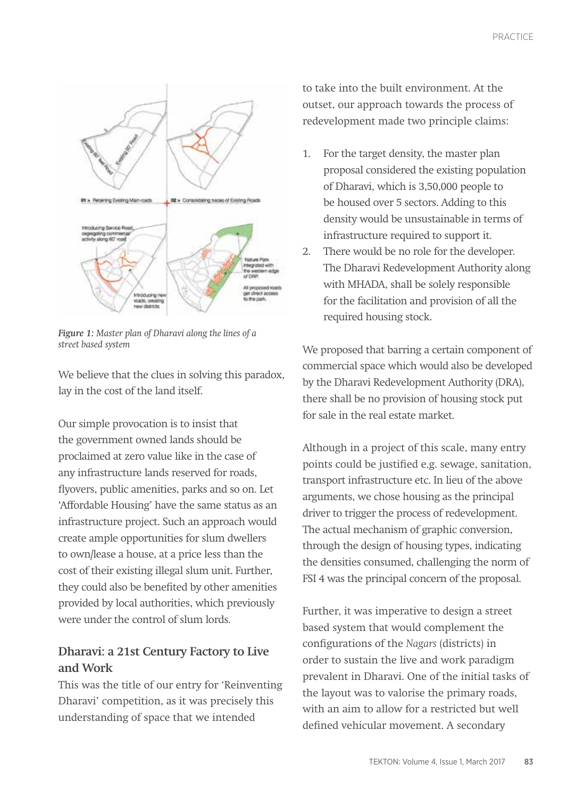

*Figure 1: Master plan of Dharavi along the lines of a street based system*

We believe that the clues in solving this paradox, lay in the cost of the land itself.

Our simple provocation is to insist that the government owned lands should be proclaimed at zero value like in the case of any infrastructure lands reserved for roads, flyovers, public amenities, parks and so on. Let 'Affordable Housing' have the same status as an infrastructure project. Such an approach would create ample opportunities for slum dwellers to own/lease a house, at a price less than the cost of their existing illegal slum unit. Further, they could also be benefited by other amenities provided by local authorities, which previously were under the control of slum lords.

## **Dharavi: a 21st Century Factory to Live and Work**

This was the title of our entry for 'Reinventing Dharavi' competition, as it was precisely this understanding of space that we intended

to take into the built environment. At the outset, our approach towards the process of redevelopment made two principle claims:

- 1. For the target density, the master plan proposal considered the existing population of Dharavi, which is 3,50,000 people to be housed over 5 sectors. Adding to this density would be unsustainable in terms of infrastructure required to support it.
- 2. There would be no role for the developer. The Dharavi Redevelopment Authority along with MHADA, shall be solely responsible for the facilitation and provision of all the required housing stock.

We proposed that barring a certain component of commercial space which would also be developed by the Dharavi Redevelopment Authority (DRA), there shall be no provision of housing stock put for sale in the real estate market.

Although in a project of this scale, many entry points could be justified e.g. sewage, sanitation, transport infrastructure etc. In lieu of the above arguments, we chose housing as the principal driver to trigger the process of redevelopment. The actual mechanism of graphic conversion, through the design of housing types, indicating the densities consumed, challenging the norm of FSI 4 was the principal concern of the proposal.

Further, it was imperative to design a street based system that would complement the configurations of the *Nagars* (districts) in order to sustain the live and work paradigm prevalent in Dharavi. One of the initial tasks of the layout was to valorise the primary roads, with an aim to allow for a restricted but well defined vehicular movement. A secondary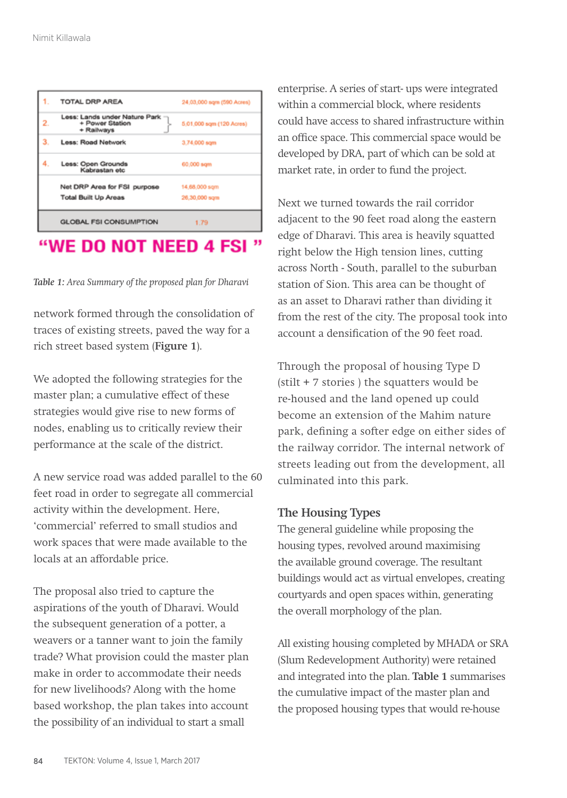| <b>TOTAL DRP AREA</b>                                          | 24,03,000 sqm (590 Acres) |
|----------------------------------------------------------------|---------------------------|
| Less: Lands under Nature Park<br>+ Power Station<br>+ Railways | 5.01.000 sqm (120 Acres)  |
| Less: Road Network                                             | 3,74,000 sqm              |
| Less: Open Grounds<br>Kabrastan etc                            | 60,000 sqm                |
| Net DRP Area for FSI purpose                                   | 14,68,000 sqm             |
| <b>Total Built Up Areas</b>                                    | 26,30,000 sqm             |
| <b>GLOBAL FSI CONSUMPTION</b>                                  | 1.79                      |
|                                                                |                           |

## "WE DO NOT NEED 4 FSI"

*Table 1: Area Summary of the proposed plan for Dharavi*

network formed through the consolidation of traces of existing streets, paved the way for a rich street based system (**Figure 1**).

We adopted the following strategies for the master plan; a cumulative effect of these strategies would give rise to new forms of nodes, enabling us to critically review their performance at the scale of the district.

A new service road was added parallel to the 60 feet road in order to segregate all commercial activity within the development. Here, 'commercial' referred to small studios and work spaces that were made available to the locals at an affordable price.

The proposal also tried to capture the aspirations of the youth of Dharavi. Would the subsequent generation of a potter, a weavers or a tanner want to join the family trade? What provision could the master plan make in order to accommodate their needs for new livelihoods? Along with the home based workshop, the plan takes into account the possibility of an individual to start a small

enterprise. A series of start- ups were integrated within a commercial block, where residents could have access to shared infrastructure within an office space. This commercial space would be developed by DRA, part of which can be sold at market rate, in order to fund the project.

Next we turned towards the rail corridor adjacent to the 90 feet road along the eastern edge of Dharavi. This area is heavily squatted right below the High tension lines, cutting across North - South, parallel to the suburban station of Sion. This area can be thought of as an asset to Dharavi rather than dividing it from the rest of the city. The proposal took into account a densification of the 90 feet road.

Through the proposal of housing Type D (stilt + 7 stories ) the squatters would be re-housed and the land opened up could become an extension of the Mahim nature park, defining a softer edge on either sides of the railway corridor. The internal network of streets leading out from the development, all culminated into this park.

#### **The Housing Types**

The general guideline while proposing the housing types, revolved around maximising the available ground coverage. The resultant buildings would act as virtual envelopes, creating courtyards and open spaces within, generating the overall morphology of the plan.

All existing housing completed by MHADA or SRA (Slum Redevelopment Authority) were retained and integrated into the plan. **Table 1** summarises the cumulative impact of the master plan and the proposed housing types that would re-house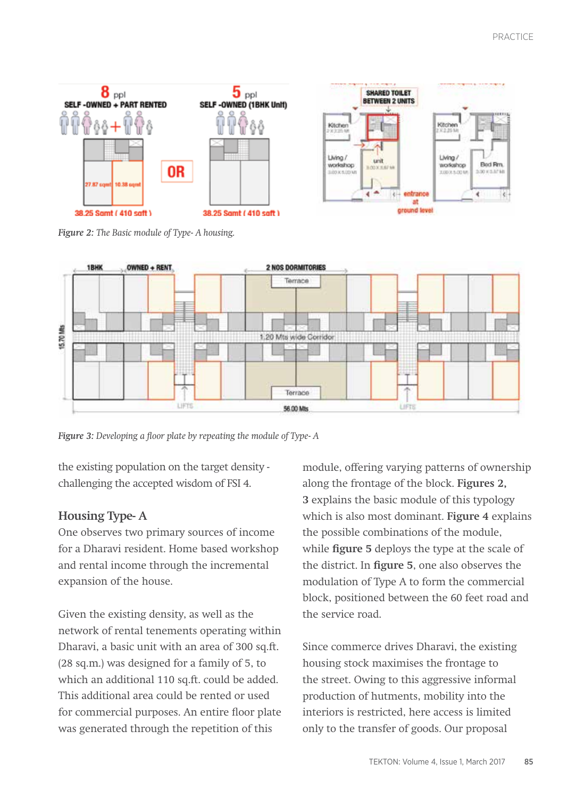

*Figure 2: The Basic module of Type- A housing.*



*Figure 3: Developing a floor plate by repeating the module of Type- A*

the existing population on the target density challenging the accepted wisdom of FSI 4.

#### **Housing Type- A**

One observes two primary sources of income for a Dharavi resident. Home based workshop and rental income through the incremental expansion of the house.

Given the existing density, as well as the network of rental tenements operating within Dharavi, a basic unit with an area of 300 sq.ft. (28 sq.m.) was designed for a family of 5, to which an additional 110 sq.ft. could be added. This additional area could be rented or used for commercial purposes. An entire floor plate was generated through the repetition of this

module, offering varying patterns of ownership along the frontage of the block. **Figures 2, 3** explains the basic module of this typology which is also most dominant. **Figure 4** explains the possible combinations of the module, while **figure 5** deploys the type at the scale of the district. In **figure 5**, one also observes the modulation of Type A to form the commercial block, positioned between the 60 feet road and the service road.

Since commerce drives Dharavi, the existing housing stock maximises the frontage to the street. Owing to this aggressive informal production of hutments, mobility into the interiors is restricted, here access is limited only to the transfer of goods. Our proposal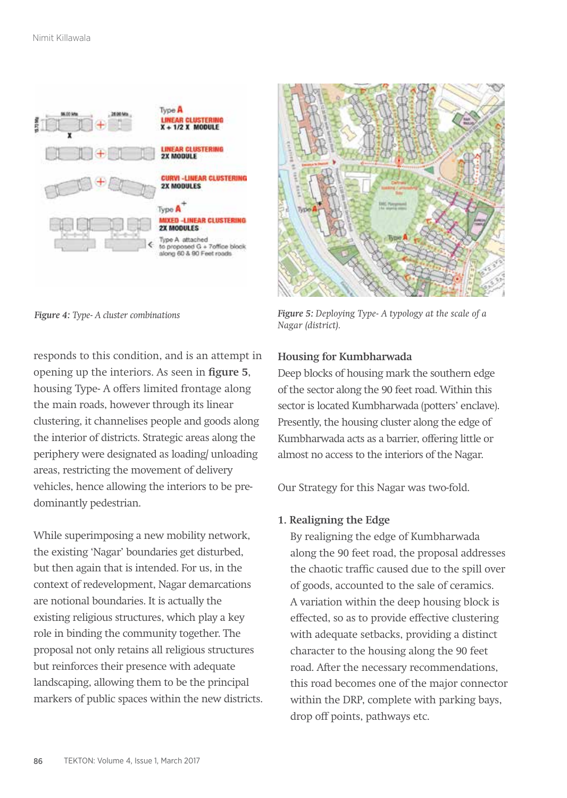



*Figure 4: Type- A cluster combinations*

responds to this condition, and is an attempt in opening up the interiors. As seen in **figure 5**, housing Type- A offers limited frontage along the main roads, however through its linear clustering, it channelises people and goods along the interior of districts. Strategic areas along the periphery were designated as loading/ unloading areas, restricting the movement of delivery vehicles, hence allowing the interiors to be predominantly pedestrian.

While superimposing a new mobility network, the existing 'Nagar' boundaries get disturbed, but then again that is intended. For us, in the context of redevelopment, Nagar demarcations are notional boundaries. It is actually the existing religious structures, which play a key role in binding the community together. The proposal not only retains all religious structures but reinforces their presence with adequate landscaping, allowing them to be the principal markers of public spaces within the new districts.

*Figure 5: Deploying Type- A typology at the scale of a Nagar (district).*

#### **Housing for Kumbharwada**

Deep blocks of housing mark the southern edge of the sector along the 90 feet road. Within this sector is located Kumbharwada (potters' enclave). Presently, the housing cluster along the edge of Kumbharwada acts as a barrier, offering little or almost no access to the interiors of the Nagar.

Our Strategy for this Nagar was two-fold.

#### **1. Realigning the Edge**

By realigning the edge of Kumbharwada along the 90 feet road, the proposal addresses the chaotic traffic caused due to the spill over of goods, accounted to the sale of ceramics. A variation within the deep housing block is effected, so as to provide effective clustering with adequate setbacks, providing a distinct character to the housing along the 90 feet road. After the necessary recommendations, this road becomes one of the major connector within the DRP, complete with parking bays, drop off points, pathways etc.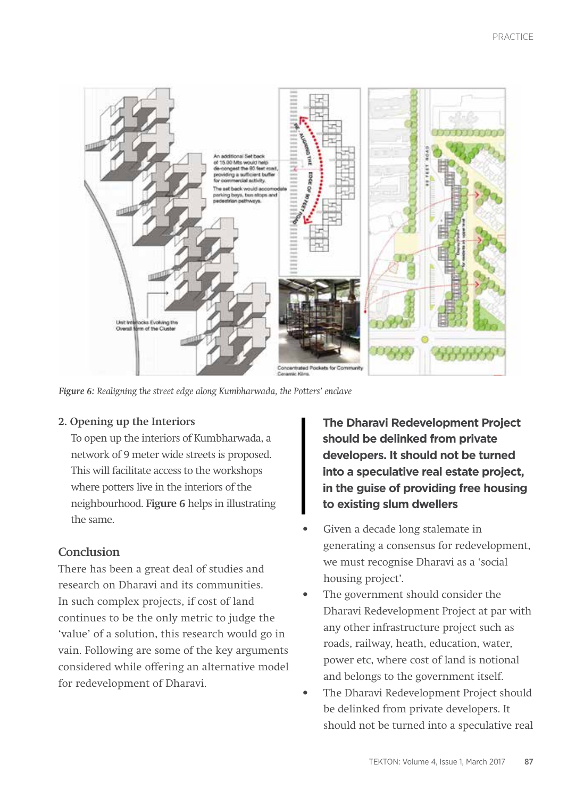

*Figure 6: Realigning the street edge along Kumbharwada, the Potters' enclave*

#### **2. Opening up the Interiors**

To open up the interiors of Kumbharwada, a network of 9 meter wide streets is proposed. This will facilitate access to the workshops where potters live in the interiors of the neighbourhood. **Figure 6** helps in illustrating the same.

#### **Conclusion**

There has been a great deal of studies and research on Dharavi and its communities. In such complex projects, if cost of land continues to be the only metric to judge the 'value' of a solution, this research would go in vain. Following are some of the key arguments considered while offering an alternative model for redevelopment of Dharavi.

**The Dharavi Redevelopment Project should be delinked from private developers. It should not be turned into a speculative real estate project, in the guise of providing free housing to existing slum dwellers**

- Given a decade long stalemate in generating a consensus for redevelopment, we must recognise Dharavi as a 'social housing project'.
- The government should consider the Dharavi Redevelopment Project at par with any other infrastructure project such as roads, railway, heath, education, water, power etc, where cost of land is notional and belongs to the government itself.
- The Dharavi Redevelopment Project should be delinked from private developers. It should not be turned into a speculative real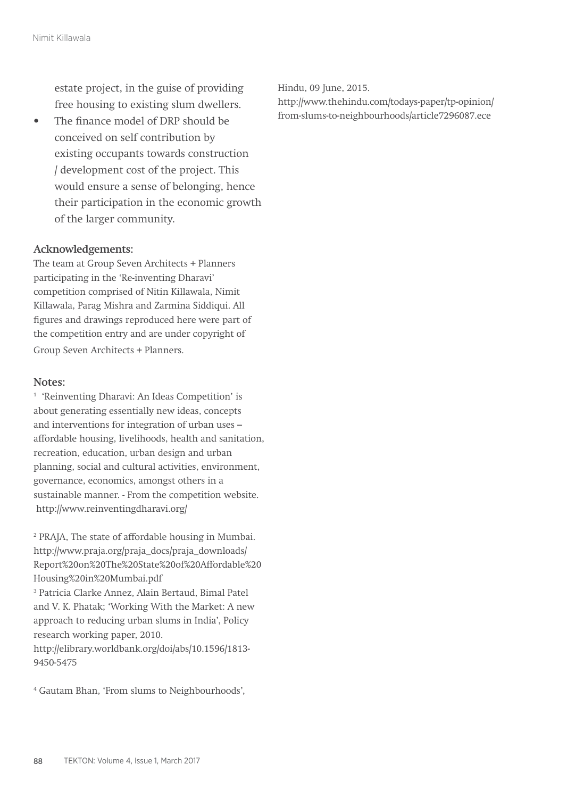estate project, in the guise of providing free housing to existing slum dwellers.

• The finance model of DRP should be conceived on self contribution by existing occupants towards construction / development cost of the project. This would ensure a sense of belonging, hence their participation in the economic growth of the larger community.

#### **Acknowledgements:**

The team at Group Seven Architects + Planners participating in the 'Re-inventing Dharavi' competition comprised of Nitin Killawala, Nimit Killawala, Parag Mishra and Zarmina Siddiqui. All figures and drawings reproduced here were part of the competition entry and are under copyright of Group Seven Architects + Planners.

#### **Notes:**

1 'Reinventing Dharavi: An Ideas Competition' is about generating essentially new ideas, concepts and interventions for integration of urban uses – affordable housing, livelihoods, health and sanitation, recreation, education, urban design and urban planning, social and cultural activities, environment, governance, economics, amongst others in a sustainable manner. - From the competition website. http://www.reinventingdharavi.org/

2 PRAJA, The state of affordable housing in Mumbai. http://www.praja.org/praja\_docs/praja\_downloads/ Report%20on%20The%20State%20of%20Affordable%20 Housing%20in%20Mumbai.pdf 3 Patricia Clarke Annez, Alain Bertaud, Bimal Patel and V. K. Phatak; 'Working With the Market: A new approach to reducing urban slums in India', Policy research working paper, 2010. http://elibrary.worldbank.org/doi/abs/10.1596/1813- 9450-5475

4 Gautam Bhan, 'From slums to Neighbourhoods',

Hindu, 09 June, 2015.

http://www.thehindu.com/todays-paper/tp-opinion/ from-slums-to-neighbourhoods/article7296087.ece